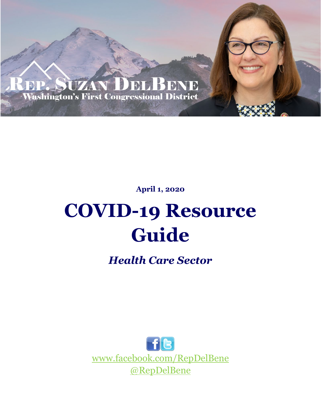

**April 1, 2020**

# **COVID-19 Resource Guide**

*Health Care Sector*

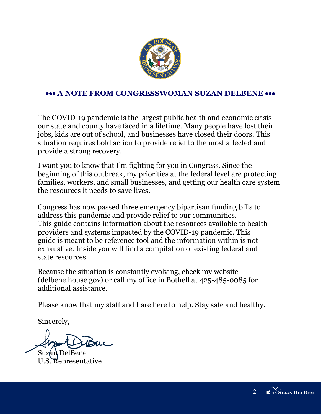

# ••• **A NOTE FROM CONGRESSWOMAN SUZAN DELBENE** •••

The COVID-19 pandemic is the largest public health and economic crisis our state and county have faced in a lifetime. Many people have lost their jobs, kids are out of school, and businesses have closed their doors. This situation requires bold action to provide relief to the most affected and provide a strong recovery.

I want you to know that I'm fighting for you in Congress. Since the beginning of this outbreak, my priorities at the federal level are protecting families, workers, and small businesses, and getting our health care system the resources it needs to save lives.

Congress has now passed three emergency bipartisan funding bills to address this pandemic and provide relief to our communities. This guide contains information about the resources available to health providers and systems impacted by the COVID-19 pandemic. This guide is meant to be reference tool and the information within is not exhaustive. Inside you will find a compilation of existing federal and state resources.

Because the situation is constantly evolving, check my website (delbene.house.gov) or call my office in Bothell at 425-485-0085 for additional assistance.

Please know that my staff and I are here to help. Stay safe and healthy.

Sincerely,

Suzán DelBene  $\mathbb R$ epresentative

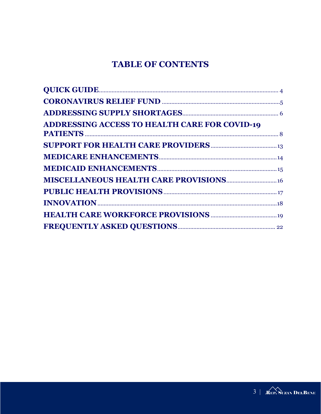# **TABLE OF CONTENTS**

| <b>ADDRESSING ACCESS TO HEALTH CARE FOR COVID-19</b> |  |
|------------------------------------------------------|--|
|                                                      |  |
|                                                      |  |
|                                                      |  |
|                                                      |  |
|                                                      |  |
|                                                      |  |
|                                                      |  |
|                                                      |  |

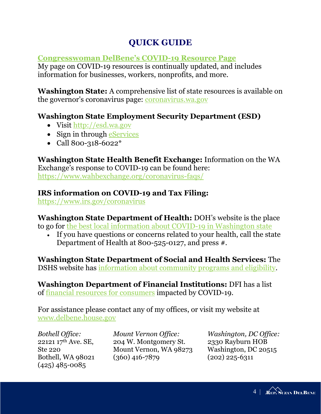# **QUICK GUIDE**

#### **[Congresswoman DelBene's COVID-19 Resource Page](https://delbene.house.gov/constituent-services/covid-19-resources.htm)**

My page on COVID-19 resources is continually updated, and includes information for businesses, workers, nonprofits, and more.

**Washington State:** A comprehensive list of state resources is available on the governor's coronavirus page: [coronavirus.wa.gov](https://coronavirus.wa.gov/)

# **Washington State Employment Security Department (ESD)**

- Visit [http://esd.wa.gov](http://esd.wa.gov/)
- Sign in through [eServices](https://urldefense.proofpoint.com/v2/url?u=https-3A__secure.esd.wa.gov_&d=DwMFAg&c=L93KkjKsAC98uTvC4KvQDdTDRzAeWDDRmG6S3YXllH0&r=JZBZecTdxM694Asx0XzKc6H2P6pOSVm8U2jEQDjurSk&m=ibjGQGJas6dzM-llt9Jw1XZK5OYMVg_qL65laUiWib4&s=0loazR3bA8CJICeiV1IETqEJyslBvl3JAXTm0lEeg0Q&e=)
- Call 800-318-6022\*

**Washington State Health Benefit Exchange:** Information on the WA Exchange's response to COVID-19 can be found here: <https://www.wahbexchange.org/coronavirus-faqs/>

# **IRS information on COVID-19 and Tax Filing:**

<https://www.irs.gov/coronavirus>

**Washington State Department of Health:** DOH's website is the place to go for [the best local information about COVID-19 in Washington state](http://www.doh.wa.gov/coronavirus)

• If you have questions or concerns related to your health, call the state Department of Health at 800-525-0127, and press #.

**Washington State Department of Social and Health Services:** The DSHS website has [information about community programs and eligibility.](https://www.dshs.wa.gov/)

**Washington Department of Financial Institutions:** DFI has a list of [financial resources for consumers](https://dfi.wa.gov/coronavirus-financial-resources) impacted by COVID-19.

For assistance please contact any of my offices, or visit my website at [www.delbene.house.gov](http://www.delbene.house.gov/) 

 $(425)$  485-0085

*Bothell Office: Mount Vernon Office: Washington, DC Office:*  204 W. Montgomery St. 2330 Rayburn HOB Ste 220 Mount Vernon, WA 98273 Washington, DC 20515 Bothell, WA 98021 (360) 416-7879 (202) 225-6311

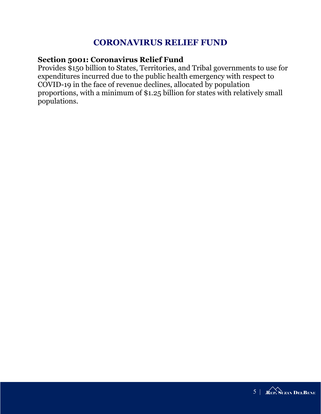# **CORONAVIRUS RELIEF FUND**

## **Section 5001: Coronavirus Relief Fund**

Provides \$150 billion to States, Territories, and Tribal governments to use for expenditures incurred due to the public health emergency with respect to COVID-19 in the face of revenue declines, allocated by population proportions, with a minimum of \$1.25 billion for states with relatively small populations.

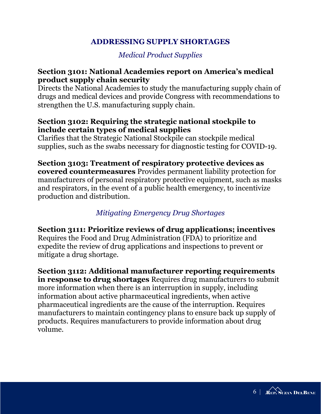# **ADDRESSING SUPPLY SHORTAGES**

# *Medical Product Supplies*

#### **Section 3101: National Academies report on America's medical product supply chain security**

Directs the National Academies to study the manufacturing supply chain of drugs and medical devices and provide Congress with recommendations to strengthen the U.S. manufacturing supply chain.

## **Section 3102: Requiring the strategic national stockpile to include certain types of medical supplies**

Clarifies that the Strategic National Stockpile can stockpile medical supplies, such as the swabs necessary for diagnostic testing for COVID-19.

**Section 3103: Treatment of respiratory protective devices as covered countermeasures** Provides permanent liability protection for manufacturers of personal respiratory protective equipment, such as masks and respirators, in the event of a public health emergency, to incentivize production and distribution.

# *Mitigating Emergency Drug Shortages*

**Section 3111: Prioritize reviews of drug applications; incentives**  Requires the Food and Drug Administration (FDA) to prioritize and expedite the review of drug applications and inspections to prevent or mitigate a drug shortage.

**Section 3112: Additional manufacturer reporting requirements in response to drug shortages** Requires drug manufacturers to submit more information when there is an interruption in supply, including information about active pharmaceutical ingredients, when active pharmaceutical ingredients are the cause of the interruption. Requires manufacturers to maintain contingency plans to ensure back up supply of products. Requires manufacturers to provide information about drug volume.

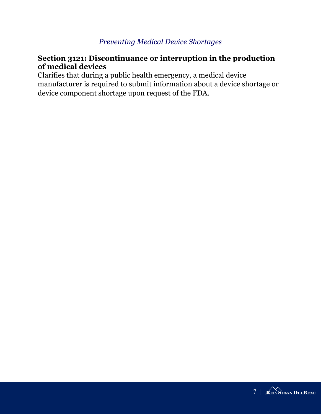## *Preventing Medical Device Shortages*

#### **Section 3121: Discontinuance or interruption in the production of medical devices**

Clarifies that during a public health emergency, a medical device manufacturer is required to submit information about a device shortage or device component shortage upon request of the FDA.

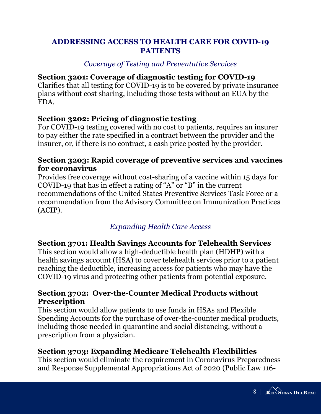# **ADDRESSING ACCESS TO HEALTH CARE FOR COVID-19 PATIENTS**

## *Coverage of Testing and Preventative Services*

## **Section 3201: Coverage of diagnostic testing for COVID-19**

Clarifies that all testing for COVID-19 is to be covered by private insurance plans without cost sharing, including those tests without an EUA by the FDA.

## **Section 3202: Pricing of diagnostic testing**

For COVID-19 testing covered with no cost to patients, requires an insurer to pay either the rate specified in a contract between the provider and the insurer, or, if there is no contract, a cash price posted by the provider.

#### **Section 3203: Rapid coverage of preventive services and vaccines for coronavirus**

Provides free coverage without cost-sharing of a vaccine within 15 days for COVID-19 that has in effect a rating of "A" or "B" in the current recommendations of the United States Preventive Services Task Force or a recommendation from the Advisory Committee on Immunization Practices (ACIP).

# *Expanding Health Care Access*

## **Section 3701: Health Savings Accounts for Telehealth Services**

This section would allow a high-deductible health plan (HDHP) with a health savings account (HSA) to cover telehealth services prior to a patient reaching the deductible, increasing access for patients who may have the COVID-19 virus and protecting other patients from potential exposure.

#### **Section 3702: Over-the-Counter Medical Products without Prescription**

This section would allow patients to use funds in HSAs and Flexible Spending Accounts for the purchase of over-the-counter medical products, including those needed in quarantine and social distancing, without a prescription from a physician.

# **Section 3703: Expanding Medicare Telehealth Flexibilities**

This section would eliminate the requirement in Coronavirus Preparedness and Response Supplemental Appropriations Act of 2020 (Public Law 116-

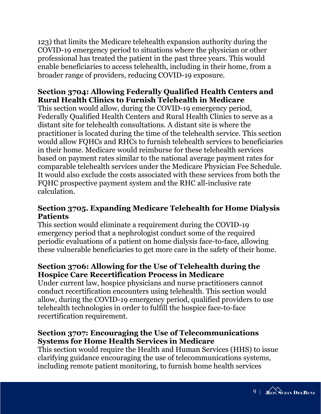123) that limits the Medicare telehealth expansion authority during the COVID-19 emergency period to situations where the physician or other professional has treated the patient in the past three years. This would enable beneficiaries to access telehealth, including in their home, from a broader range of providers, reducing COVID-19 exposure.

# **Section 3704: Allowing Federally Qualified Health Centers and Rural Health Clinics to Furnish Telehealth in Medicare**

This section would allow, during the COVID-19 emergency period, Federally Qualified Health Centers and Rural Health Clinics to serve as a distant site for telehealth consultations. A distant site is where the practitioner is located during the time of the telehealth service. This section would allow FQHCs and RHCs to furnish telehealth services to beneficiaries in their home. Medicare would reimburse for these telehealth services based on payment rates similar to the national average payment rates for comparable telehealth services under the Medicare Physician Fee Schedule. It would also exclude the costs associated with these services from both the FQHC prospective payment system and the RHC all-inclusive rate calculation.

#### **Section 3705. Expanding Medicare Telehealth for Home Dialysis Patients**

This section would eliminate a requirement during the COVID-19 emergency period that a nephrologist conduct some of the required periodic evaluations of a patient on home dialysis face-to-face, allowing these vulnerable beneficiaries to get more care in the safety of their home.

## **Section 3706: Allowing for the Use of Telehealth during the Hospice Care Recertification Process in Medicare**

Under current law, hospice physicians and nurse practitioners cannot conduct recertification encounters using telehealth. This section would allow, during the COVID-19 emergency period, qualified providers to use telehealth technologies in order to fulfill the hospice face-to-face recertification requirement.

## **Section 3707: Encouraging the Use of Telecommunications Systems for Home Health Services in Medicare**

This section would require the Health and Human Services (HHS) to issue clarifying guidance encouraging the use of telecommunications systems, including remote patient monitoring, to furnish home health services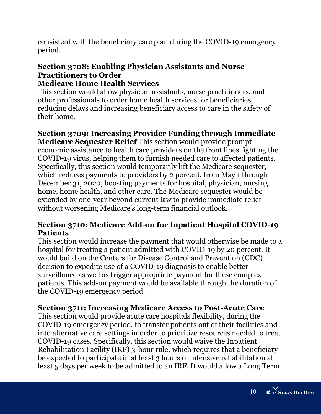consistent with the beneficiary care plan during the COVID-19 emergency period.

# **Section 3708: Enabling Physician Assistants and Nurse Practitioners to Order**

#### **Medicare Home Health Services**

This section would allow physician assistants, nurse practitioners, and other professionals to order home health services for beneficiaries, reducing delays and increasing beneficiary access to care in the safety of their home.

**Section 3709: Increasing Provider Funding through Immediate Medicare Sequester Relief** This section would provide prompt economic assistance to health care providers on the front lines fighting the COVID-19 virus, helping them to furnish needed care to affected patients. Specifically, this section would temporarily lift the Medicare sequester, which reduces payments to providers by 2 percent, from May 1 through December 31, 2020, boosting payments for hospital, physician, nursing home, home health, and other care. The Medicare sequester would be extended by one-year beyond current law to provide immediate relief without worsening Medicare's long-term financial outlook.

## **Section 3710: Medicare Add-on for Inpatient Hospital COVID-19 Patients**

This section would increase the payment that would otherwise be made to a hospital for treating a patient admitted with COVID-19 by 20 percent. It would build on the Centers for Disease Control and Prevention (CDC) decision to expedite use of a COVID-19 diagnosis to enable better surveillance as well as trigger appropriate payment for these complex patients. This add-on payment would be available through the duration of the COVID-19 emergency period.

# **Section 3711: Increasing Medicare Access to Post-Acute Care**

This section would provide acute care hospitals flexibility, during the COVID-19 emergency period, to transfer patients out of their facilities and into alternative care settings in order to prioritize resources needed to treat COVID-19 cases. Specifically, this section would waive the Inpatient Rehabilitation Facility (IRF) 3-hour rule, which requires that a beneficiary be expected to participate in at least 3 hours of intensive rehabilitation at least 5 days per week to be admitted to an IRF. It would allow a Long Term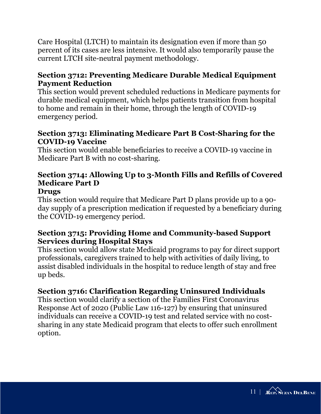Care Hospital (LTCH) to maintain its designation even if more than 50 percent of its cases are less intensive. It would also temporarily pause the current LTCH site-neutral payment methodology.

#### **Section 3712: Preventing Medicare Durable Medical Equipment Payment Reduction**

This section would prevent scheduled reductions in Medicare payments for durable medical equipment, which helps patients transition from hospital to home and remain in their home, through the length of COVID-19 emergency period.

## **Section 3713: Eliminating Medicare Part B Cost-Sharing for the COVID-19 Vaccine**

This section would enable beneficiaries to receive a COVID-19 vaccine in Medicare Part B with no cost-sharing.

# **Section 3714: Allowing Up to 3-Month Fills and Refills of Covered Medicare Part D**

#### **Drugs**

This section would require that Medicare Part D plans provide up to a 90 day supply of a prescription medication if requested by a beneficiary during the COVID-19 emergency period.

#### **Section 3715: Providing Home and Community-based Support Services during Hospital Stays**

This section would allow state Medicaid programs to pay for direct support professionals, caregivers trained to help with activities of daily living, to assist disabled individuals in the hospital to reduce length of stay and free up beds.

# **Section 3716: Clarification Regarding Uninsured Individuals**

This section would clarify a section of the Families First Coronavirus Response Act of 2020 (Public Law 116-127) by ensuring that uninsured individuals can receive a COVID-19 test and related service with no costsharing in any state Medicaid program that elects to offer such enrollment option.

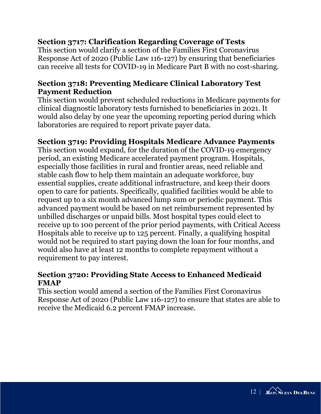# **Section 3717: Clarification Regarding Coverage of Tests**

This section would clarify a section of the Families First Coronavirus Response Act of 2020 (Public Law 116-127) by ensuring that beneficiaries can receive all tests for COVID-19 in Medicare Part B with no cost-sharing.

#### **Section 3718: Preventing Medicare Clinical Laboratory Test Payment Reduction**

This section would prevent scheduled reductions in Medicare payments for clinical diagnostic laboratory tests furnished to beneficiaries in 2021. It would also delay by one year the upcoming reporting period during which laboratories are required to report private payer data.

#### **Section 3719: Providing Hospitals Medicare Advance Payments**

This section would expand, for the duration of the COVID-19 emergency period, an existing Medicare accelerated payment program. Hospitals, especially those facilities in rural and frontier areas, need reliable and stable cash flow to help them maintain an adequate workforce, buy essential supplies, create additional infrastructure, and keep their doors open to care for patients. Specifically, qualified facilities would be able to request up to a six month advanced lump sum or periodic payment. This advanced payment would be based on net reimbursement represented by unbilled discharges or unpaid bills. Most hospital types could elect to receive up to 100 percent of the prior period payments, with Critical Access Hospitals able to receive up to 125 percent. Finally, a qualifying hospital would not be required to start paying down the loan for four months, and would also have at least 12 months to complete repayment without a requirement to pay interest.

#### **Section 3720: Providing State Access to Enhanced Medicaid FMAP**

This section would amend a section of the Families First Coronavirus Response Act of 2020 (Public Law 116-127) to ensure that states are able to receive the Medicaid 6.2 percent FMAP increase.

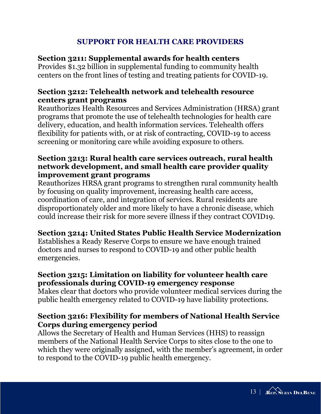# **SUPPORT FOR HEALTH CARE PROVIDERS**

#### **Section 3211: Supplemental awards for health centers**

Provides \$1.32 billion in supplemental funding to community health centers on the front lines of testing and treating patients for COVID-19.

## **Section 3212: Telehealth network and telehealth resource centers grant programs**

Reauthorizes Health Resources and Services Administration (HRSA) grant programs that promote the use of telehealth technologies for health care delivery, education, and health information services. Telehealth offers flexibility for patients with, or at risk of contracting, COVID-19 to access screening or monitoring care while avoiding exposure to others.

#### **Section 3213: Rural health care services outreach, rural health network development, and small health care provider quality improvement grant programs**

Reauthorizes HRSA grant programs to strengthen rural community health by focusing on quality improvement, increasing health care access, coordination of care, and integration of services. Rural residents are disproportionately older and more likely to have a chronic disease, which could increase their risk for more severe illness if they contract COVID19.

## **Section 3214: United States Public Health Service Modernization**

Establishes a Ready Reserve Corps to ensure we have enough trained doctors and nurses to respond to COVID-19 and other public health emergencies.

#### **Section 3215: Limitation on liability for volunteer health care professionals during COVID-19 emergency response**

Makes clear that doctors who provide volunteer medical services during the public health emergency related to COVID-19 have liability protections.

#### **Section 3216: Flexibility for members of National Health Service Corps during emergency period**

Allows the Secretary of Health and Human Services (HHS) to reassign members of the National Health Service Corps to sites close to the one to which they were originally assigned, with the member's agreement, in order to respond to the COVID-19 public health emergency.

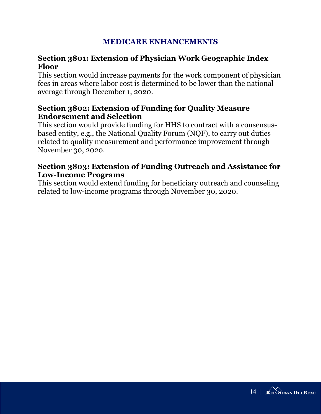## **MEDICARE ENHANCEMENTS**

#### **Section 3801: Extension of Physician Work Geographic Index Floor**

This section would increase payments for the work component of physician fees in areas where labor cost is determined to be lower than the national average through December 1, 2020.

#### **Section 3802: Extension of Funding for Quality Measure Endorsement and Selection**

This section would provide funding for HHS to contract with a consensusbased entity, e.g., the National Quality Forum (NQF), to carry out duties related to quality measurement and performance improvement through November 30, 2020.

#### **Section 3803: Extension of Funding Outreach and Assistance for Low-Income Programs**

This section would extend funding for beneficiary outreach and counseling related to low-income programs through November 30, 2020.

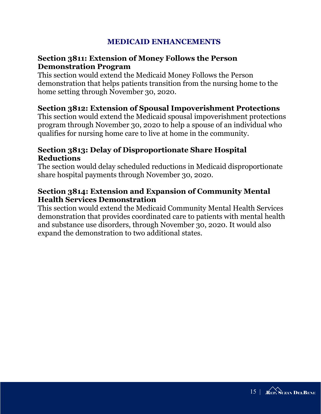#### **MEDICAID ENHANCEMENTS**

#### **Section 3811: Extension of Money Follows the Person Demonstration Program**

This section would extend the Medicaid Money Follows the Person demonstration that helps patients transition from the nursing home to the home setting through November 30, 2020.

#### **Section 3812: Extension of Spousal Impoverishment Protections**

This section would extend the Medicaid spousal impoverishment protections program through November 30, 2020 to help a spouse of an individual who qualifies for nursing home care to live at home in the community.

#### **Section 3813: Delay of Disproportionate Share Hospital Reductions**

The section would delay scheduled reductions in Medicaid disproportionate share hospital payments through November 30, 2020.

#### **Section 3814: Extension and Expansion of Community Mental Health Services Demonstration**

This section would extend the Medicaid Community Mental Health Services demonstration that provides coordinated care to patients with mental health and substance use disorders, through November 30, 2020. It would also expand the demonstration to two additional states.

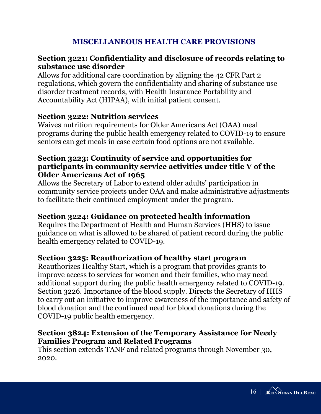# **MISCELLANEOUS HEALTH CARE PROVISIONS**

#### **Section 3221: Confidentiality and disclosure of records relating to substance use disorder**

Allows for additional care coordination by aligning the 42 CFR Part 2 regulations, which govern the confidentiality and sharing of substance use disorder treatment records, with Health Insurance Portability and Accountability Act (HIPAA), with initial patient consent.

#### **Section 3222: Nutrition services**

Waives nutrition requirements for Older Americans Act (OAA) meal programs during the public health emergency related to COVID-19 to ensure seniors can get meals in case certain food options are not available.

#### **Section 3223: Continuity of service and opportunities for participants in community service activities under title V of the Older Americans Act of 1965**

Allows the Secretary of Labor to extend older adults' participation in community service projects under OAA and make administrative adjustments to facilitate their continued employment under the program.

#### **Section 3224: Guidance on protected health information**

Requires the Department of Health and Human Services (HHS) to issue guidance on what is allowed to be shared of patient record during the public health emergency related to COVID-19.

#### **Section 3225: Reauthorization of healthy start program**

Reauthorizes Healthy Start, which is a program that provides grants to improve access to services for women and their families, who may need additional support during the public health emergency related to COVID-19. Section 3226. Importance of the blood supply. Directs the Secretary of HHS to carry out an initiative to improve awareness of the importance and safety of blood donation and the continued need for blood donations during the COVID-19 public health emergency.

#### **Section 3824: Extension of the Temporary Assistance for Needy Families Program and Related Programs**

This section extends TANF and related programs through November 30, 2020.

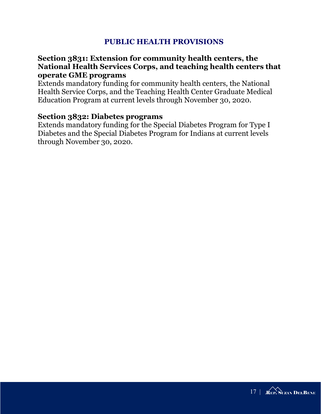## **PUBLIC HEALTH PROVISIONS**

#### **Section 3831: Extension for community health centers, the National Health Services Corps, and teaching health centers that operate GME programs**

Extends mandatory funding for community health centers, the National Health Service Corps, and the Teaching Health Center Graduate Medical Education Program at current levels through November 30, 2020.

#### **Section 3832: Diabetes programs**

Extends mandatory funding for the Special Diabetes Program for Type I Diabetes and the Special Diabetes Program for Indians at current levels through November 30, 2020.

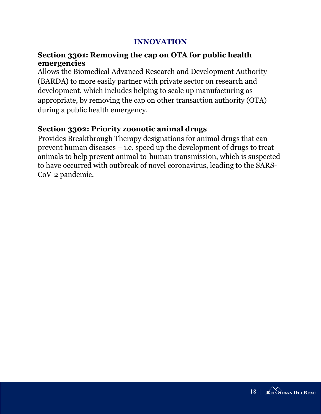#### **INNOVATION**

#### **Section 3301: Removing the cap on OTA for public health emergencies**

Allows the Biomedical Advanced Research and Development Authority (BARDA) to more easily partner with private sector on research and development, which includes helping to scale up manufacturing as appropriate, by removing the cap on other transaction authority (OTA) during a public health emergency.

## **Section 3302: Priority zoonotic animal drugs**

Provides Breakthrough Therapy designations for animal drugs that can prevent human diseases – i.e. speed up the development of drugs to treat animals to help prevent animal to-human transmission, which is suspected to have occurred with outbreak of novel coronavirus, leading to the SARS-CoV-2 pandemic.

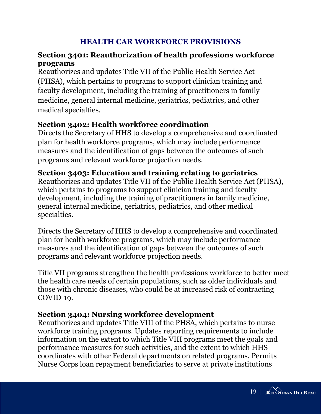# **HEALTH CAR WORKFORCE PROVISIONS**

## **Section 3401: Reauthorization of health professions workforce programs**

Reauthorizes and updates Title VII of the Public Health Service Act (PHSA), which pertains to programs to support clinician training and faculty development, including the training of practitioners in family medicine, general internal medicine, geriatrics, pediatrics, and other medical specialties.

# **Section 3402: Health workforce coordination**

Directs the Secretary of HHS to develop a comprehensive and coordinated plan for health workforce programs, which may include performance measures and the identification of gaps between the outcomes of such programs and relevant workforce projection needs.

# **Section 3403: Education and training relating to geriatrics**

Reauthorizes and updates Title VII of the Public Health Service Act (PHSA), which pertains to programs to support clinician training and faculty development, including the training of practitioners in family medicine, general internal medicine, geriatrics, pediatrics, and other medical specialties.

Directs the Secretary of HHS to develop a comprehensive and coordinated plan for health workforce programs, which may include performance measures and the identification of gaps between the outcomes of such programs and relevant workforce projection needs.

Title VII programs strengthen the health professions workforce to better meet the health care needs of certain populations, such as older individuals and those with chronic diseases, who could be at increased risk of contracting COVID-19.

## **Section 3404: Nursing workforce development**

Reauthorizes and updates Title VIII of the PHSA, which pertains to nurse workforce training programs. Updates reporting requirements to include information on the extent to which Title VIII programs meet the goals and performance measures for such activities, and the extent to which HHS coordinates with other Federal departments on related programs. Permits Nurse Corps loan repayment beneficiaries to serve at private institutions

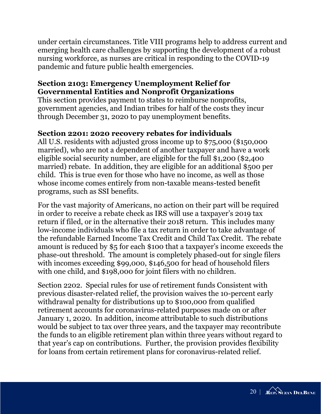under certain circumstances. Title VIII programs help to address current and emerging health care challenges by supporting the development of a robust nursing workforce, as nurses are critical in responding to the COVID-19 pandemic and future public health emergencies.

#### **Section 2103: Emergency Unemployment Relief for Governmental Entities and Nonprofit Organizations**

This section provides payment to states to reimburse nonprofits, government agencies, and Indian tribes for half of the costs they incur through December 31, 2020 to pay unemployment benefits.

# **Section 2201: 2020 recovery rebates for individuals**

All U.S. residents with adjusted gross income up to \$75,000 (\$150,000 married), who are not a dependent of another taxpayer and have a work eligible social security number, are eligible for the full \$1,200 (\$2,400 married) rebate. In addition, they are eligible for an additional \$500 per child. This is true even for those who have no income, as well as those whose income comes entirely from non-taxable means-tested benefit programs, such as SSI benefits.

For the vast majority of Americans, no action on their part will be required in order to receive a rebate check as IRS will use a taxpayer's 2019 tax return if filed, or in the alternative their 2018 return. This includes many low-income individuals who file a tax return in order to take advantage of the refundable Earned Income Tax Credit and Child Tax Credit. The rebate amount is reduced by \$5 for each \$100 that a taxpayer's income exceeds the phase-out threshold. The amount is completely phased-out for single filers with incomes exceeding \$99,000, \$146,500 for head of household filers with one child, and \$198,000 for joint filers with no children.

Section 2202. Special rules for use of retirement funds Consistent with previous disaster-related relief, the provision waives the 10-percent early withdrawal penalty for distributions up to \$100,000 from qualified retirement accounts for coronavirus-related purposes made on or after January 1, 2020. In addition, income attributable to such distributions would be subject to tax over three years, and the taxpayer may recontribute the funds to an eligible retirement plan within three years without regard to that year's cap on contributions. Further, the provision provides flexibility for loans from certain retirement plans for coronavirus-related relief.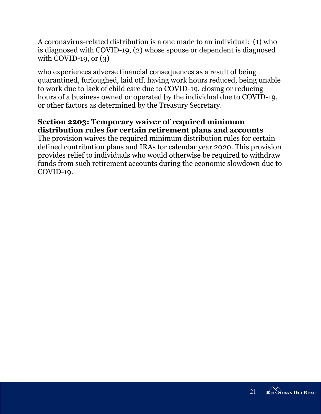A coronavirus-related distribution is a one made to an individual: (1) who is diagnosed with COVID-19, (2) whose spouse or dependent is diagnosed with COVID-19, or  $(3)$ 

who experiences adverse financial consequences as a result of being quarantined, furloughed, laid off, having work hours reduced, being unable to work due to lack of child care due to COVID-19, closing or reducing hours of a business owned or operated by the individual due to COVID-19, or other factors as determined by the Treasury Secretary.

# **Section 2203: Temporary waiver of required minimum distribution rules for certain retirement plans and accounts**

The provision waives the required minimum distribution rules for certain defined contribution plans and IRAs for calendar year 2020. This provision provides relief to individuals who would otherwise be required to withdraw funds from such retirement accounts during the economic slowdown due to COVID-19.

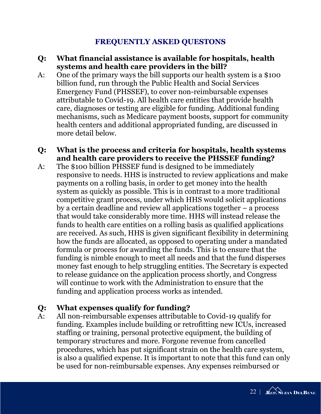## **FREQUENTLY ASKED QUESTONS**

#### **Q: What financial assistance is available for hospitals, health systems and health care providers in the bill?**

- A: One of the primary ways the bill supports our health system is a \$100 billion fund, run through the Public Health and Social Services Emergency Fund (PHSSEF), to cover non-reimbursable expenses attributable to Covid-19. All health care entities that provide health care, diagnoses or testing are eligible for funding. Additional funding mechanisms, such as Medicare payment boosts, support for community health centers and additional appropriated funding, are discussed in more detail below.
- **Q: What is the process and criteria for hospitals, health systems and health care providers to receive the PHSSEF funding?**
- A: The \$100 billion PHSSEF fund is designed to be immediately responsive to needs. HHS is instructed to review applications and make payments on a rolling basis, in order to get money into the health system as quickly as possible. This is in contrast to a more traditional competitive grant process, under which HHS would solicit applications by a certain deadline and review all applications together – a process that would take considerably more time. HHS will instead release the funds to health care entities on a rolling basis as qualified applications are received. As such, HHS is given significant flexibility in determining how the funds are allocated, as opposed to operating under a mandated formula or process for awarding the funds. This is to ensure that the funding is nimble enough to meet all needs and that the fund disperses money fast enough to help struggling entities. The Secretary is expected to release guidance on the application process shortly, and Congress will continue to work with the Administration to ensure that the funding and application process works as intended.

#### **Q: What expenses qualify for funding?**

A: All non-reimbursable expenses attributable to Covid-19 qualify for funding. Examples include building or retrofitting new ICUs, increased staffing or training, personal protective equipment, the building of temporary structures and more. Forgone revenue from cancelled procedures, which has put significant strain on the health care system, is also a qualified expense. It is important to note that this fund can only be used for non-reimbursable expenses. Any expenses reimbursed or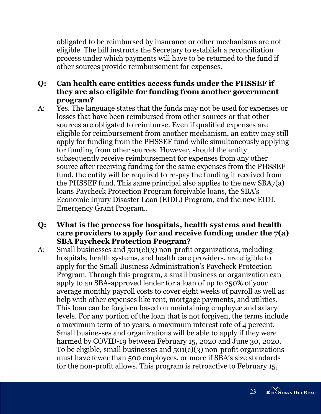obligated to be reimbursed by insurance or other mechanisms are not eligible. The bill instructs the Secretary to establish a reconciliation process under which payments will have to be returned to the fund if other sources provide reimbursement for expenses.

- **Q: Can health care entities access funds under the PHSSEF if they are also eligible for funding from another government program?**
- A: Yes. The language states that the funds may not be used for expenses or losses that have been reimbursed from other sources or that other sources are obligated to reimburse. Even if qualified expenses are eligible for reimbursement from another mechanism, an entity may still apply for funding from the PHSSEF fund while simultaneously applying for funding from other sources. However, should the entity subsequently receive reimbursement for expenses from any other source after receiving funding for the same expenses from the PHSSEF fund, the entity will be required to re-pay the funding it received from the PHSSEF fund. This same principal also applies to the new SBA7(a) loans Paycheck Protection Program forgivable loans, the SBA's Economic Injury Disaster Loan (EIDL) Program, and the new EIDL Emergency Grant Program..

#### **Q: What is the process for hospitals, health systems and health care providers to apply for and receive funding under the 7(a) SBA Paycheck Protection Program?**

A: Small businesses and 501(c)(3) non-profit organizations, including hospitals, health systems, and health care providers, are eligible to apply for the Small Business Administration's Paycheck Protection Program. Through this program, a small business or organization can apply to an SBA-approved lender for a loan of up to 250% of your average monthly payroll costs to cover eight weeks of payroll as well as help with other expenses like rent, mortgage payments, and utilities. This loan can be forgiven based on maintaining employee and salary levels. For any portion of the loan that is not forgiven, the terms include a maximum term of 10 years, a maximum interest rate of 4 percent. Small businesses and organizations will be able to apply if they were harmed by COVID-19 between February 15, 2020 and June 30, 2020. To be eligible, small businesses and  $501(c)(3)$  non-profit organizations must have fewer than 500 employees, or more if SBA's size standards for the non-profit allows. This program is retroactive to February 15,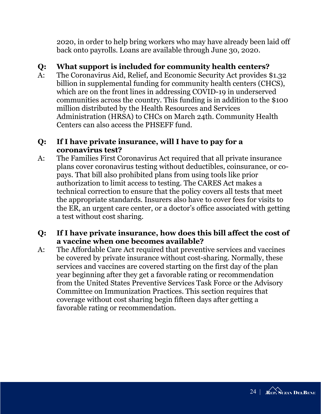2020, in order to help bring workers who may have already been laid off back onto payrolls. Loans are available through June 30, 2020.

# **Q: What support is included for community health centers?**

A: The Coronavirus Aid, Relief, and Economic Security Act provides \$1.32 billion in supplemental funding for community health centers (CHCS), which are on the front lines in addressing COVID-19 in underserved communities across the country. This funding is in addition to the \$100 million distributed by the Health Resources and Services Administration (HRSA) to CHCs on March 24th. Community Health Centers can also access the PHSEFF fund.

#### **Q: If I have private insurance, will I have to pay for a coronavirus test?**

A: The Families First Coronavirus Act required that all private insurance plans cover coronavirus testing without deductibles, coinsurance, or copays. That bill also prohibited plans from using tools like prior authorization to limit access to testing. The CARES Act makes a technical correction to ensure that the policy covers all tests that meet the appropriate standards. Insurers also have to cover fees for visits to the ER, an urgent care center, or a doctor's office associated with getting a test without cost sharing.

## **Q: If I have private insurance, how does this bill affect the cost of a vaccine when one becomes available?**

A: The Affordable Care Act required that preventive services and vaccines be covered by private insurance without cost-sharing. Normally, these services and vaccines are covered starting on the first day of the plan year beginning after they get a favorable rating or recommendation from the United States Preventive Services Task Force or the Advisory Committee on Immunization Practices. This section requires that coverage without cost sharing begin fifteen days after getting a favorable rating or recommendation.

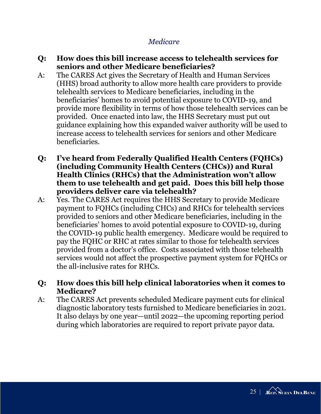# *Medicare*

#### **Q: How does this bill increase access to telehealth services for seniors and other Medicare beneficiaries?**

- A: The CARES Act gives the Secretary of Health and Human Services (HHS) broad authority to allow more health care providers to provide telehealth services to Medicare beneficiaries, including in the beneficiaries' homes to avoid potential exposure to COVID-19, and provide more flexibility in terms of how those telehealth services can be provided. Once enacted into law, the HHS Secretary must put out guidance explaining how this expanded waiver authority will be used to increase access to telehealth services for seniors and other Medicare beneficiaries.
- **Q: I've heard from Federally Qualified Health Centers (FQHCs) (including Community Health Centers (CHCs)) and Rural Health Clinics (RHCs) that the Administration won't allow them to use telehealth and get paid. Does this bill help those providers deliver care via telehealth?**
- A: Yes. The CARES Act requires the HHS Secretary to provide Medicare payment to FQHCs (including CHCs) and RHCs for telehealth services provided to seniors and other Medicare beneficiaries, including in the beneficiaries' homes to avoid potential exposure to COVID-19, during the COVID-19 public health emergency. Medicare would be required to pay the FQHC or RHC at rates similar to those for telehealth services provided from a doctor's office. Costs associated with those telehealth services would not affect the prospective payment system for FQHCs or the all-inclusive rates for RHCs.

#### **Q: How does this bill help clinical laboratories when it comes to Medicare?**

A: The CARES Act prevents scheduled Medicare payment cuts for clinical diagnostic laboratory tests furnished to Medicare beneficiaries in 2021. It also delays by one year—until 2022—the upcoming reporting period during which laboratories are required to report private payor data.

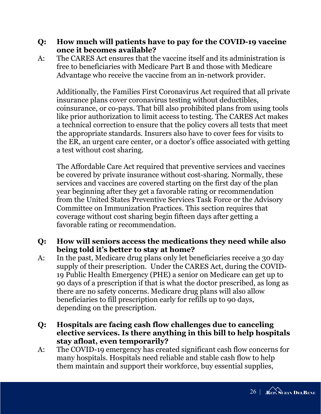- **Q: How much will patients have to pay for the COVID-19 vaccine once it becomes available?**
- A: The CARES Act ensures that the vaccine itself and its administration is free to beneficiaries with Medicare Part B and those with Medicare Advantage who receive the vaccine from an in-network provider.

Additionally, the Families First Coronavirus Act required that all private insurance plans cover coronavirus testing without deductibles, coinsurance, or co-pays. That bill also prohibited plans from using tools like prior authorization to limit access to testing. The CARES Act makes a technical correction to ensure that the policy covers all tests that meet the appropriate standards. Insurers also have to cover fees for visits to the ER, an urgent care center, or a doctor's office associated with getting a test without cost sharing.

The Affordable Care Act required that preventive services and vaccines be covered by private insurance without cost-sharing. Normally, these services and vaccines are covered starting on the first day of the plan year beginning after they get a favorable rating or recommendation from the United States Preventive Services Task Force or the Advisory Committee on Immunization Practices. This section requires that coverage without cost sharing begin fifteen days after getting a favorable rating or recommendation.

- **Q: How will seniors access the medications they need while also being told it's better to stay at home?**
- A: In the past, Medicare drug plans only let beneficiaries receive a 30 day supply of their prescription. Under the CARES Act, during the COVID-19 Public Health Emergency (PHE) a senior on Medicare can get up to 90 days of a prescription if that is what the doctor prescribed, as long as there are no safety concerns. Medicare drug plans will also allow beneficiaries to fill prescription early for refills up to 90 days, depending on the prescription.
- **Q: Hospitals are facing cash flow challenges due to canceling elective services. Is there anything in this bill to help hospitals stay afloat, even temporarily?**
- A: The COVID-19 emergency has created significant cash flow concerns for many hospitals. Hospitals need reliable and stable cash flow to help them maintain and support their workforce, buy essential supplies,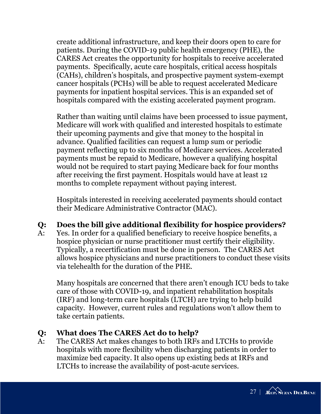create additional infrastructure, and keep their doors open to care for patients. During the COVID-19 public health emergency (PHE), the CARES Act creates the opportunity for hospitals to receive accelerated payments. Specifically, acute care hospitals, critical access hospitals (CAHs), children's hospitals, and prospective payment system-exempt cancer hospitals (PCHs) will be able to request accelerated Medicare payments for inpatient hospital services. This is an expanded set of hospitals compared with the existing accelerated payment program.

Rather than waiting until claims have been processed to issue payment, Medicare will work with qualified and interested hospitals to estimate their upcoming payments and give that money to the hospital in advance. Qualified facilities can request a lump sum or periodic payment reflecting up to six months of Medicare services. Accelerated payments must be repaid to Medicare, however a qualifying hospital would not be required to start paying Medicare back for four months after receiving the first payment. Hospitals would have at least 12 months to complete repayment without paying interest.

Hospitals interested in receiving accelerated payments should contact their Medicare Administrative Contractor (MAC).

# **Q: Does the bill give additional flexibility for hospice providers?**

A: Yes. In order for a qualified beneficiary to receive hospice benefits, a hospice physician or nurse practitioner must certify their eligibility. Typically, a recertification must be done in person. The CARES Act allows hospice physicians and nurse practitioners to conduct these visits via telehealth for the duration of the PHE.

Many hospitals are concerned that there aren't enough ICU beds to take care of those with COVID-19, and inpatient rehabilitation hospitals (IRF) and long-term care hospitals (LTCH) are trying to help build capacity. However, current rules and regulations won't allow them to take certain patients.

## **Q: What does The CARES Act do to help?**

A: The CARES Act makes changes to both IRFs and LTCHs to provide hospitals with more flexibility when discharging patients in order to maximize bed capacity. It also opens up existing beds at IRFs and LTCHs to increase the availability of post-acute services.

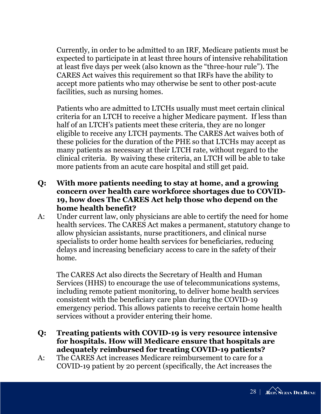Currently, in order to be admitted to an IRF, Medicare patients must be expected to participate in at least three hours of intensive rehabilitation at least five days per week (also known as the "three-hour rule"). The CARES Act waives this requirement so that IRFs have the ability to accept more patients who may otherwise be sent to other post-acute facilities, such as nursing homes.

Patients who are admitted to LTCHs usually must meet certain clinical criteria for an LTCH to receive a higher Medicare payment. If less than half of an LTCH's patients meet these criteria, they are no longer eligible to receive any LTCH payments. The CARES Act waives both of these policies for the duration of the PHE so that LTCHs may accept as many patients as necessary at their LTCH rate, without regard to the clinical criteria. By waiving these criteria, an LTCH will be able to take more patients from an acute care hospital and still get paid.

- **Q: With more patients needing to stay at home, and a growing concern over health care workforce shortages due to COVID-19, how does The CARES Act help those who depend on the home health benefit?**
- A: Under current law, only physicians are able to certify the need for home health services. The CARES Act makes a permanent, statutory change to allow physician assistants, nurse practitioners, and clinical nurse specialists to order home health services for beneficiaries, reducing delays and increasing beneficiary access to care in the safety of their home.

The CARES Act also directs the Secretary of Health and Human Services (HHS) to encourage the use of telecommunications systems, including remote patient monitoring, to deliver home health services consistent with the beneficiary care plan during the COVID-19 emergency period. This allows patients to receive certain home health services without a provider entering their home.

- **Q: Treating patients with COVID-19 is very resource intensive for hospitals. How will Medicare ensure that hospitals are adequately reimbursed for treating COVID-19 patients?**
- A: The CARES Act increases Medicare reimbursement to care for a COVID-19 patient by 20 percent (specifically, the Act increases the